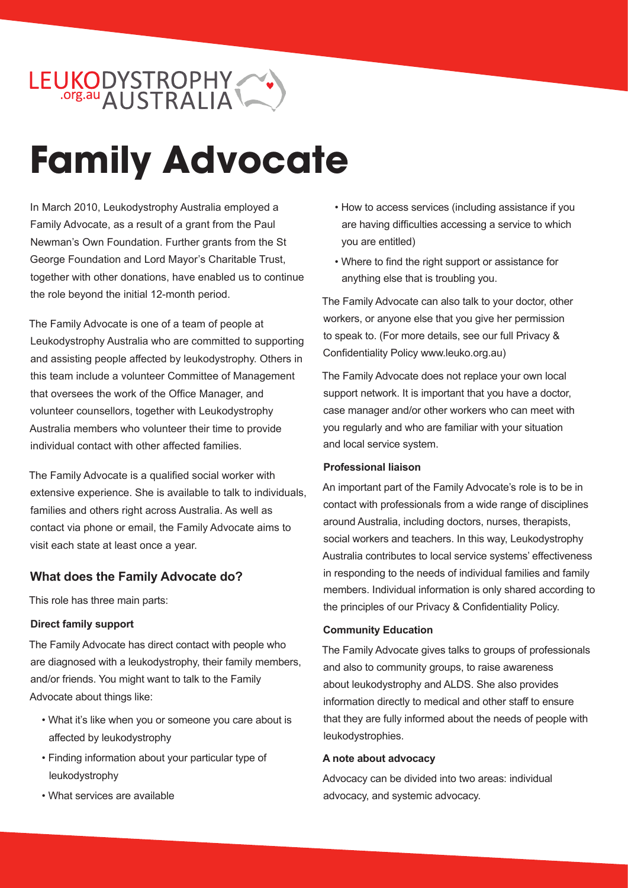# LEUKODYSTROPHY

# **Family Advocate**

In March 2010, Leukodystrophy Australia employed a Family Advocate, as a result of a grant from the Paul Newman's Own Foundation. Further grants from the St George Foundation and Lord Mayor's Charitable Trust, together with other donations, have enabled us to continue the role beyond the initial 12-month period.

The Family Advocate is one of a team of people at Leukodystrophy Australia who are committed to supporting and assisting people affected by leukodystrophy. Others in this team include a volunteer Committee of Management that oversees the work of the Office Manager, and volunteer counsellors, together with Leukodystrophy Australia members who volunteer their time to provide individual contact with other affected families.

The Family Advocate is a qualified social worker with extensive experience. She is available to talk to individuals, families and others right across Australia. As well as contact via phone or email, the Family Advocate aims to visit each state at least once a year.

## **What does the Family Advocate do?**

This role has three main parts:

#### **Direct family support**

The Family Advocate has direct contact with people who are diagnosed with a leukodystrophy, their family members, and/or friends. You might want to talk to the Family Advocate about things like:

- What it's like when you or someone you care about is affected by leukodystrophy
- Finding information about your particular type of leukodystrophy
- What services are available
- How to access services (including assistance if you are having difficulties accessing a service to which you are entitled)
- Where to find the right support or assistance for anything else that is troubling you.

The Family Advocate can also talk to your doctor, other workers, or anyone else that you give her permission to speak to. (For more details, see our full Privacy & Confidentiality Policy www.leuko.org.au)

The Family Advocate does not replace your own local support network. It is important that you have a doctor, case manager and/or other workers who can meet with you regularly and who are familiar with your situation and local service system.

#### **Professional liaison**

An important part of the Family Advocate's role is to be in contact with professionals from a wide range of disciplines around Australia, including doctors, nurses, therapists, social workers and teachers. In this way, Leukodystrophy Australia contributes to local service systems' effectiveness in responding to the needs of individual families and family members. Individual information is only shared according to the principles of our Privacy & Confidentiality Policy.

#### **Community Education**

The Family Advocate gives talks to groups of professionals and also to community groups, to raise awareness about leukodystrophy and ALDS. She also provides information directly to medical and other staff to ensure that they are fully informed about the needs of people with leukodystrophies.

#### **A note about advocacy**

Advocacy can be divided into two areas: individual advocacy, and systemic advocacy.